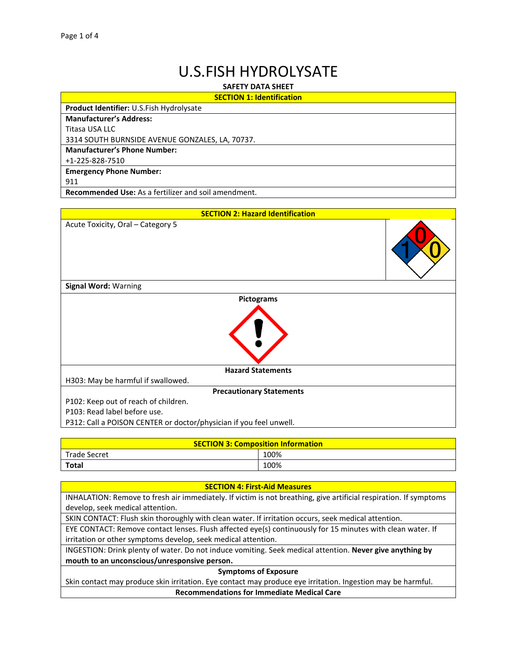# U.S.FISH HYDROLYSATE

**SAFETY DATA SHEET**

| <b>SECTION 1: Identification</b>                            |
|-------------------------------------------------------------|
| Product Identifier: U.S.Fish Hydrolysate                    |
| <b>Manufacturer's Address:</b>                              |
| Titasa USA LLC                                              |
| 3314 SOUTH BURNSIDE AVENUE GONZALES, LA, 70737.             |
| <b>Manufacturer's Phone Number:</b>                         |
| +1-225-828-7510                                             |
| <b>Emergency Phone Number:</b>                              |
| 911                                                         |
| <b>Recommended Use:</b> As a fertilizer and soil amendment. |

| <b>SECTION 2: Hazard Identification</b>                            |  |
|--------------------------------------------------------------------|--|
| Acute Toxicity, Oral - Category 5                                  |  |
| <b>Signal Word: Warning</b>                                        |  |
| <b>Pictograms</b>                                                  |  |
| <b>Hazard Statements</b>                                           |  |
| H303: May be harmful if swallowed.                                 |  |
| <b>Precautionary Statements</b>                                    |  |
| P102: Keep out of reach of children.                               |  |
| P103: Read label before use.                                       |  |
| P312: Call a POISON CENTER or doctor/physician if you feel unwell. |  |

| <b>SECTION 3: Composition Information</b> |      |  |  |  |
|-------------------------------------------|------|--|--|--|
| Trade Secret                              | 100% |  |  |  |
| <b>Total</b>                              | 100% |  |  |  |

| <b>SECTION 4: First-Aid Measures</b>                                                                              |  |  |
|-------------------------------------------------------------------------------------------------------------------|--|--|
| INHALATION: Remove to fresh air immediately. If victim is not breathing, give artificial respiration. If symptoms |  |  |
| develop, seek medical attention.                                                                                  |  |  |
| SKIN CONTACT: Flush skin thoroughly with clean water. If irritation occurs, seek medical attention.               |  |  |
| EYE CONTACT: Remove contact lenses. Flush affected eye(s) continuously for 15 minutes with clean water. If        |  |  |
| irritation or other symptoms develop, seek medical attention.                                                     |  |  |
| INGESTION: Drink plenty of water. Do not induce vomiting. Seek medical attention. Never give anything by          |  |  |
| mouth to an unconscious/unresponsive person.                                                                      |  |  |
| <b>Symptoms of Exposure</b>                                                                                       |  |  |
| Skin contact may produce skin irritation. Eye contact may produce eye irritation. Ingestion may be harmful.       |  |  |
| <b>Recommendations for Immediate Medical Care</b>                                                                 |  |  |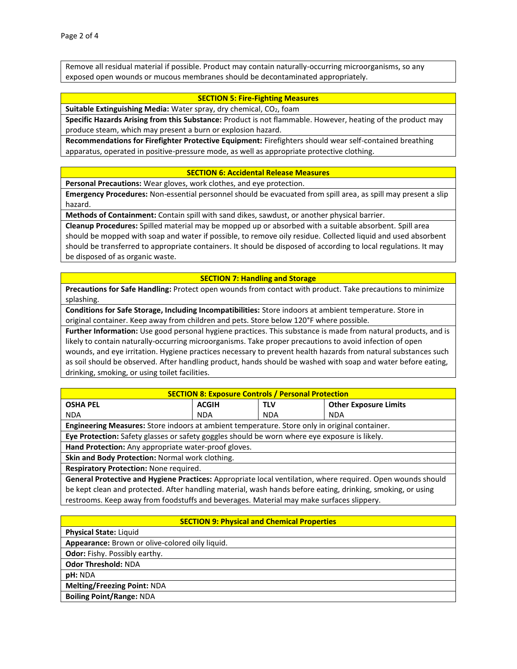Remove all residual material if possible. Product may contain naturally-occurring microorganisms, so any exposed open wounds or mucous membranes should be decontaminated appropriately.

# **SECTION 5: Fire-Fighting Measures**

Suitable Extinguishing Media: Water spray, dry chemical, CO<sub>2</sub>, foam

**Specific Hazards Arising from this Substance:** Product is not flammable. However, heating of the product may produce steam, which may present a burn or explosion hazard.

**Recommendations for Firefighter Protective Equipment:** Firefighters should wear self-contained breathing apparatus, operated in positive-pressure mode, as well as appropriate protective clothing.

#### **SECTION 6: Accidental Release Measures**

**Personal Precautions:** Wear gloves, work clothes, and eye protection.

**Emergency Procedures:** Non-essential personnel should be evacuated from spill area, as spill may present a slip hazard.

**Methods of Containment:** Contain spill with sand dikes, sawdust, or another physical barrier.

**Cleanup Procedures:** Spilled material may be mopped up or absorbed with a suitable absorbent. Spill area should be mopped with soap and water if possible, to remove oily residue. Collected liquid and used absorbent should be transferred to appropriate containers. It should be disposed of according to local regulations. It may be disposed of as organic waste.

# **SECTION 7: Handling and Storage**

**Precautions for Safe Handling:** Protect open wounds from contact with product. Take precautions to minimize splashing.

**Conditions for Safe Storage, Including Incompatibilities:** Store indoors at ambient temperature. Store in original container. Keep away from children and pets. Store below 120°F where possible.

**Further Information:** Use good personal hygiene practices. This substance is made from natural products, and is likely to contain naturally-occurring microorganisms. Take proper precautions to avoid infection of open wounds, and eye irritation. Hygiene practices necessary to prevent health hazards from natural substances such as soil should be observed. After handling product, hands should be washed with soap and water before eating, drinking, smoking, or using toilet facilities.

| <b>SECTION 8: Exposure Controls / Personal Protection</b>                                                   |              |            |                              |  |
|-------------------------------------------------------------------------------------------------------------|--------------|------------|------------------------------|--|
| <b>OSHA PEL</b>                                                                                             | <b>ACGIH</b> | <b>TLV</b> | <b>Other Exposure Limits</b> |  |
| <b>NDA</b>                                                                                                  | NDA.         | <b>NDA</b> | <b>NDA</b>                   |  |
| Engineering Measures: Store indoors at ambient temperature. Store only in original container.               |              |            |                              |  |
| Eye Protection: Safety glasses or safety goggles should be worn where eye exposure is likely.               |              |            |                              |  |
| Hand Protection: Any appropriate water-proof gloves.                                                        |              |            |                              |  |
| Skin and Body Protection: Normal work clothing.                                                             |              |            |                              |  |
| Respiratory Protection: None required.                                                                      |              |            |                              |  |
| General Protective and Hygiene Practices: Appropriate local ventilation, where required. Open wounds should |              |            |                              |  |
| be kept clean and protected. After handling material, wash hands before eating, drinking, smoking, or using |              |            |                              |  |

restrooms. Keep away from foodstuffs and beverages. Material may make surfaces slippery.

| <b>SECTION 9: Physical and Chemical Properties</b> |  |  |  |
|----------------------------------------------------|--|--|--|
| <b>Physical State: Liquid</b>                      |  |  |  |
| Appearance: Brown or olive-colored oily liquid.    |  |  |  |
| <b>Odor:</b> Fishy. Possibly earthy.               |  |  |  |
| <b>Odor Threshold: NDA</b>                         |  |  |  |
| pH: NDA                                            |  |  |  |
| <b>Melting/Freezing Point: NDA</b>                 |  |  |  |
| <b>Boiling Point/Range: NDA</b>                    |  |  |  |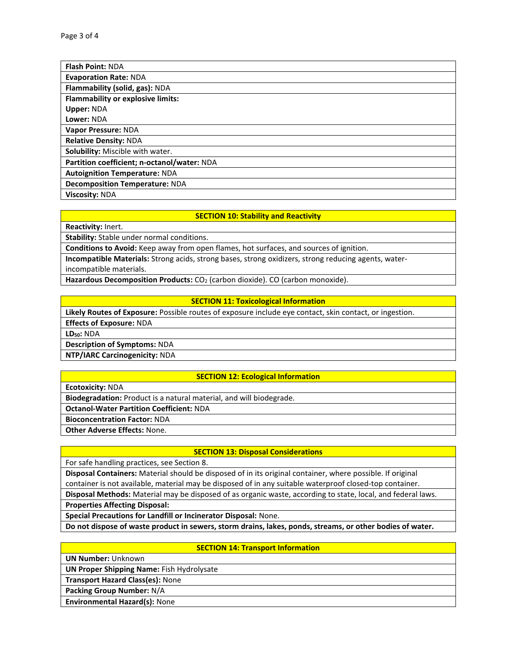| <b>Flash Point: NDA</b>                     |
|---------------------------------------------|
| <b>Evaporation Rate: NDA</b>                |
| Flammability (solid, gas): NDA              |
| <b>Flammability or explosive limits:</b>    |
| Upper: NDA                                  |
| Lower: NDA                                  |
| Vapor Pressure: NDA                         |
| <b>Relative Density: NDA</b>                |
| Solubility: Miscible with water.            |
| Partition coefficient; n-octanol/water: NDA |
| <b>Autoignition Temperature: NDA</b>        |
| <b>Decomposition Temperature: NDA</b>       |
| <b>Viscosity: NDA</b>                       |

### **SECTION 10: Stability and Reactivity**

**Reactivity:** Inert.

**Stability:** Stable under normal conditions.

**Conditions to Avoid:** Keep away from open flames, hot surfaces, and sources of ignition.

**Incompatible Materials:** Strong acids, strong bases, strong oxidizers, strong reducing agents, waterincompatible materials.

Hazardous Decomposition Products: CO<sub>2</sub> (carbon dioxide). CO (carbon monoxide).

### **SECTION 11: Toxicological Information**

**Likely Routes of Exposure:** Possible routes of exposure include eye contact, skin contact, or ingestion.

**Effects of Exposure:** NDA

**LD50:** NDA

**Description of Symptoms:** NDA

**NTP/IARC Carcinogenicity:** NDA

### **SECTION 12: Ecological Information**

**Ecotoxicity:** NDA

**Biodegradation:** Product is a natural material, and will biodegrade.

**Octanol-Water Partition Coefficient:** NDA

**Bioconcentration Factor:** NDA

**Other Adverse Effects:** None.

## **SECTION 13: Disposal Considerations**

For safe handling practices, see Section 8.

**Disposal Containers:** Material should be disposed of in its original container, where possible. If original container is not available, material may be disposed of in any suitable waterproof closed-top container.

**Disposal Methods:** Material may be disposed of as organic waste, according to state, local, and federal laws.

**Properties Affecting Disposal:**

**Special Precautions for Landfill or Incinerator Disposal:** None.

**Do not dispose of waste product in sewers, storm drains, lakes, ponds, streams, or other bodies of water.**

### **SECTION 14: Transport Information**

**UN Number:** Unknown

**UN Proper Shipping Name:** Fish Hydrolysate

**Transport Hazard Class(es):** None

**Packing Group Number:** N/A

**Environmental Hazard(s):** None